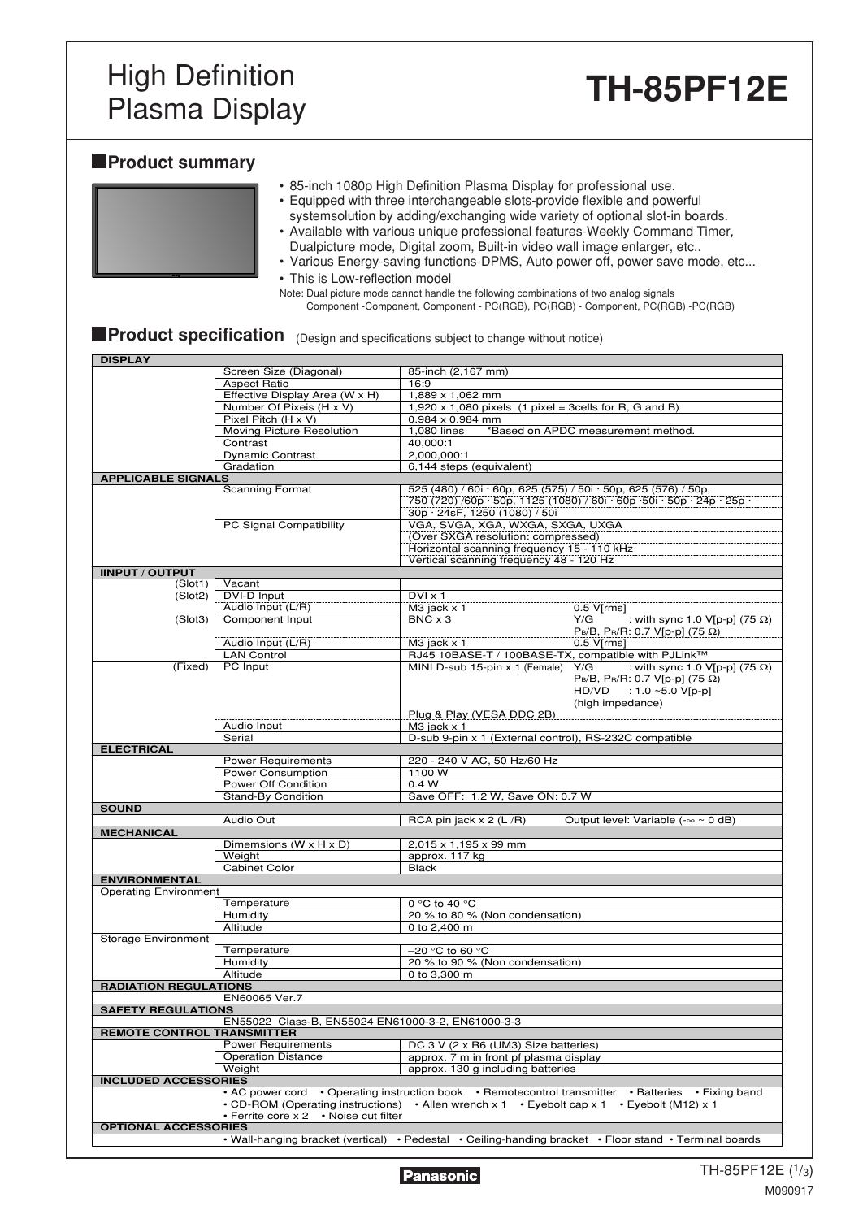### High Definition Plasma Display **TH-85PF12E**

### **Product summary**

|  |  | • 85-inch 1080p High Definition Plasma Display for professional use. |
|--|--|----------------------------------------------------------------------|
|  |  |                                                                      |

- Equipped with three interchangeable slots-provide flexible and powerful
- systemsolution by adding/exchanging wide variety of optional slot-in boards. • Available with various unique professional features-Weekly Command Timer,
- Dualpicture mode, Digital zoom, Built-in video wall image enlarger, etc.. • Various Energy-saving functions-DPMS, Auto power off, power save mode, etc...

• This is Low-reflection model Note: Dual picture mode cannot handle the following combinations of two analog signals Component -Component, Component - PC(RGB), PC(RGB) - Component, PC(RGB) -PC(RGB)

| <b>Product specification</b> (Design and specifications subject to change without notice) |
|-------------------------------------------------------------------------------------------|

| <b>DISPLAY</b>                    |                                                   |                                                                |                                                                                                        |
|-----------------------------------|---------------------------------------------------|----------------------------------------------------------------|--------------------------------------------------------------------------------------------------------|
|                                   | Screen Size (Diagonal)                            | 85-inch (2,167 mm)                                             |                                                                                                        |
|                                   | <b>Aspect Ratio</b>                               | 16:9                                                           |                                                                                                        |
|                                   | Effective Display Area (W x H)                    | 1,889 x 1,062 mm                                               |                                                                                                        |
|                                   | Number Of Pixeis (H x V)                          | $1,920 \times 1,080$ pixels (1 pixel = 3cells for R, G and B)  |                                                                                                        |
|                                   | Pixel Pitch (H x V)                               | $0.984 \times 0.984$ mm                                        |                                                                                                        |
|                                   | Moving Picture Resolution                         | 1,080 lines                                                    | *Based on APDC measurement method.                                                                     |
|                                   | Contrast                                          | 40,000:1                                                       |                                                                                                        |
|                                   | <b>Dynamic Contrast</b>                           | 2,000,000:1                                                    |                                                                                                        |
|                                   | Gradation                                         | 6,144 steps (equivalent)                                       |                                                                                                        |
| <b>APPLICABLE SIGNALS</b>         |                                                   |                                                                |                                                                                                        |
|                                   | <b>Scanning Format</b>                            | 525 (480) / 60i · 60p, 625 (575) / 50i · 50p, 625 (576) / 50p, |                                                                                                        |
|                                   |                                                   |                                                                | 750 (720) /60p · 50p, 1125 (1080) / 60i · 60p · 50i · 50p · 24p · 25p ·                                |
|                                   |                                                   | 30p · 24sF, 1250 (1080) / 50i                                  |                                                                                                        |
|                                   | PC Signal Compatibility                           | VGA, SVGA, XGA, WXGA, SXGA, UXGA                               |                                                                                                        |
|                                   |                                                   | (Over SXGA resolution: compressed)                             |                                                                                                        |
|                                   |                                                   | Horizontal scanning frequency 15 - 110 kHz                     |                                                                                                        |
|                                   |                                                   | Vertical scanning frequency 48 - 120 Hz                        |                                                                                                        |
| <b>IINPUT / OUTPUT</b>            |                                                   |                                                                |                                                                                                        |
| (Slot1)                           | Vacant                                            |                                                                |                                                                                                        |
| (Slot2)                           | DVI-D Input                                       | $DV1 \times 1$                                                 |                                                                                                        |
|                                   | Audio Input (L/R)                                 | $M3$ jack $\times$ 1                                           | $0.5$ V[ $rms$ ]                                                                                       |
| (Slot3)                           | Component Input                                   | $BNC \times 3$                                                 | Y/G<br>: with sync 1.0 V[p-p] $(75 \Omega)$                                                            |
|                                   |                                                   |                                                                | $PB/B$ , $PR/R$ : 0.7 V[p-p] (75 Ω)                                                                    |
|                                   | Audio Input (L/R)                                 | $M3$ jack $\times$ 1                                           | $0.5$ V[ $rms$ ]                                                                                       |
|                                   | <b>LAN Control</b>                                | RJ45 10BASE-T / 100BASE-TX, compatible with PJLink™            |                                                                                                        |
| (Fixed)                           | PC Input                                          | MINI D-sub 15-pin x 1 (Female) Y/G                             | : with sync 1.0 V[p-p] $(75 \Omega)$                                                                   |
|                                   |                                                   |                                                                | $PB/B$ , P <sub>R</sub> /R: 0.7 V[p-p] (75 Ω)                                                          |
|                                   |                                                   |                                                                | $HD/VD$ : 1.0 ~5.0 V[p-p]                                                                              |
|                                   |                                                   |                                                                | (high impedance)                                                                                       |
|                                   |                                                   | Plug & Play (VESA DDC 2B)                                      |                                                                                                        |
|                                   | Audio Input                                       | $M3$ jack $x$ 1                                                |                                                                                                        |
|                                   | Serial                                            | D-sub 9-pin x 1 (External control), RS-232C compatible         |                                                                                                        |
| <b>ELECTRICAL</b>                 |                                                   |                                                                |                                                                                                        |
|                                   | <b>Power Requirements</b>                         | 220 - 240 V AC, 50 Hz/60 Hz                                    |                                                                                                        |
|                                   | Power Consumption                                 | 1100 W                                                         |                                                                                                        |
|                                   | Power Off Condition                               | 0.4 W                                                          |                                                                                                        |
|                                   | <b>Stand-By Condition</b>                         | Save OFF: 1.2 W, Save ON: 0.7 W                                |                                                                                                        |
| <b>SOUND</b>                      |                                                   |                                                                |                                                                                                        |
|                                   | Audio Out                                         | RCA pin jack $x$ 2 (L /R)                                      | Output level: Variable $(-\infty \sim 0$ dB)                                                           |
| <b>MECHANICAL</b>                 |                                                   |                                                                |                                                                                                        |
|                                   | Dimemsions (W x H x D)                            | 2,015 x 1,195 x 99 mm                                          |                                                                                                        |
|                                   | Weight                                            | approx. 117 kg                                                 |                                                                                                        |
|                                   | Cabinet Color                                     | <b>Black</b>                                                   |                                                                                                        |
| <b>ENVIRONMENTAL</b>              |                                                   |                                                                |                                                                                                        |
| <b>Operating Environment</b>      |                                                   |                                                                |                                                                                                        |
|                                   | Temperature                                       | 0 $\degree$ C to 40 $\degree$ C                                |                                                                                                        |
|                                   | Humidity                                          | 20 % to 80 % (Non condensation)                                |                                                                                                        |
|                                   | Altitude                                          | 0 to 2,400 m                                                   |                                                                                                        |
| <b>Storage Environment</b>        |                                                   |                                                                |                                                                                                        |
|                                   | Temperature                                       | $-20$ °C to 60 °C                                              |                                                                                                        |
|                                   | Humidity                                          | 20 % to 90 % (Non condensation)                                |                                                                                                        |
|                                   | Altitude                                          | 0 to 3,300 m                                                   |                                                                                                        |
| <b>RADIATION REGULATIONS</b>      |                                                   |                                                                |                                                                                                        |
|                                   | EN60065 Ver.7                                     |                                                                |                                                                                                        |
| <b>SAFETY REGULATIONS</b>         |                                                   |                                                                |                                                                                                        |
|                                   | EN55022 Class-B, EN55024 EN61000-3-2, EN61000-3-3 |                                                                |                                                                                                        |
| <b>REMOTE CONTROL TRANSMITTER</b> |                                                   |                                                                |                                                                                                        |
|                                   | <b>Power Requirements</b>                         | DC 3 V (2 x R6 (UM3) Size batteries)                           |                                                                                                        |
|                                   | <b>Operation Distance</b>                         | approx. 7 m in front pf plasma display                         |                                                                                                        |
|                                   | Weight                                            | approx. 130 g including batteries                              |                                                                                                        |
| <b>INCLUDED ACCESSORIES</b>       |                                                   |                                                                |                                                                                                        |
|                                   |                                                   |                                                                | • AC power cord • Operating instruction book • Remotecontrol transmitter • Batteries • Fixing band     |
|                                   | • CD-ROM (Operating instructions)                 | • Allen wrench $x 1$ • Eyebolt cap $x 1$ • Eyebolt (M12) $x 1$ |                                                                                                        |
|                                   | • Ferrite core x 2 • Noise cut filter             |                                                                |                                                                                                        |
| <b>OPTIONAL ACCESSORIES</b>       |                                                   |                                                                |                                                                                                        |
|                                   |                                                   |                                                                | • Wall-hanging bracket (vertical) • Pedestal • Ceiling-handing bracket • Floor stand • Terminal boards |
|                                   |                                                   |                                                                |                                                                                                        |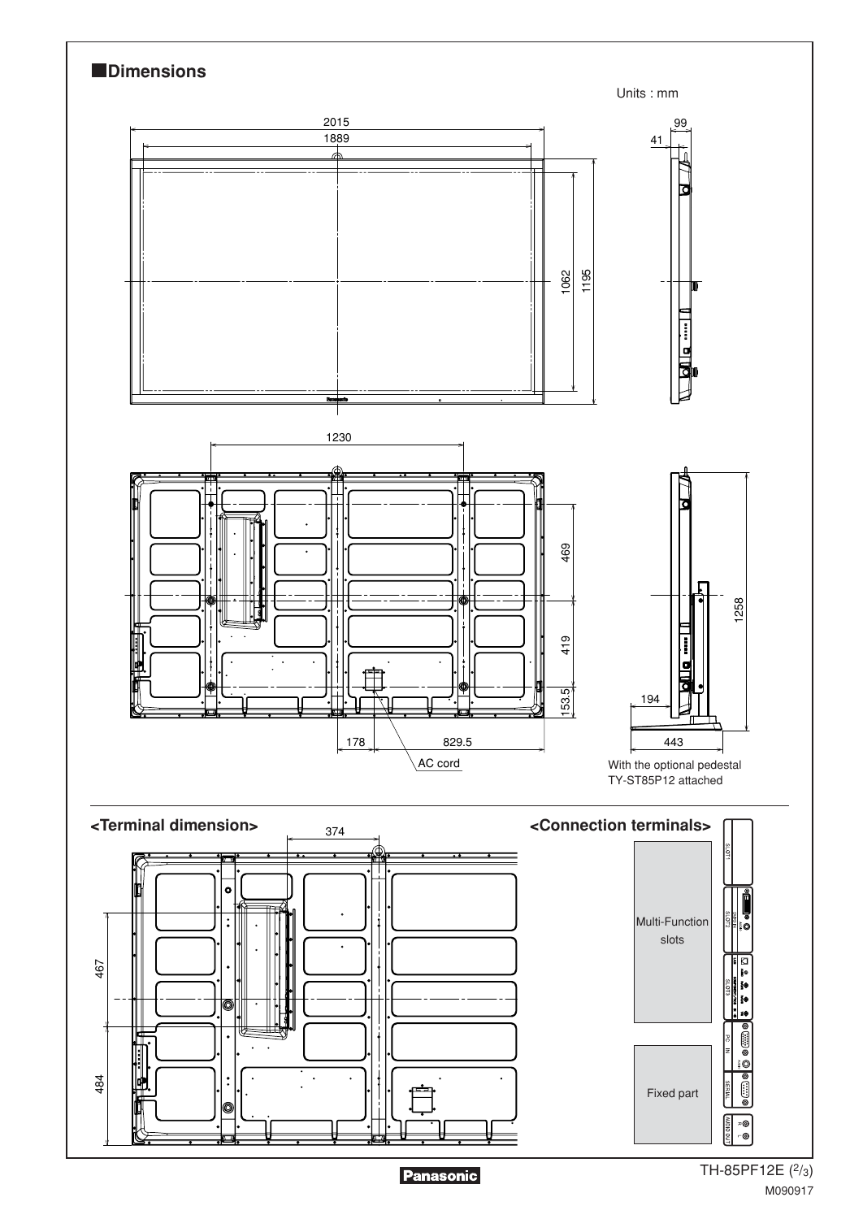

Panasonic

TH-85PF12E (2/3) M090917